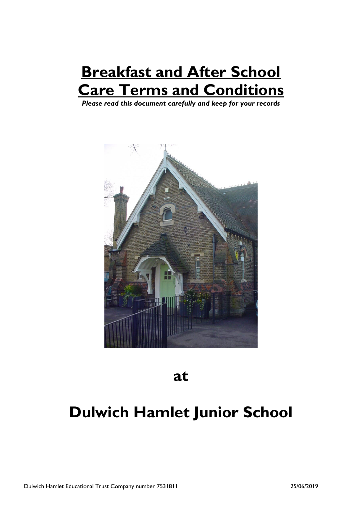# **Breakfast and After School Care Terms and Conditions**

*Please read this document carefully and keep for your records*



**at**

## **Dulwich Hamlet Junior School**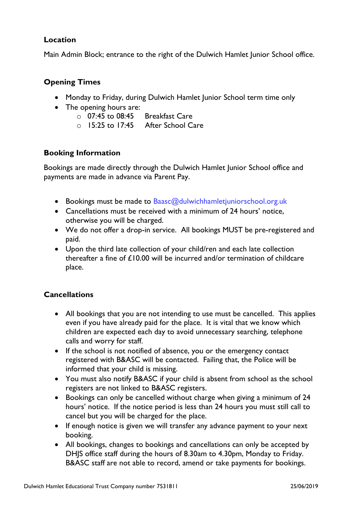## **Location**

Main Admin Block; entrance to the right of the Dulwich Hamlet Junior School office.

## **Opening Times**

- Monday to Friday, during Dulwich Hamlet Junior School term time only
- The opening hours are:
	- o 07:45 to 08:45 Breakfast Care
	- o 15:25 to 17:45 After School Care

## **Booking Information**

Bookings are made directly through the Dulwich Hamlet Junior School office and payments are made in advance via Parent Pay.

- Bookings must be made to Baasc@dulwichhamletjuniorschool.org.uk
- Cancellations must be received with a minimum of 24 hours' notice, otherwise you will be charged.
- We do not offer a drop-in service. All bookings MUST be pre-registered and paid.
- Upon the third late collection of your child/ren and each late collection thereafter a fine of £10.00 will be incurred and/or termination of childcare place.

## **Cancellations**

- All bookings that you are not intending to use must be cancelled. This applies even if you have already paid for the place. It is vital that we know which children are expected each day to avoid unnecessary searching, telephone calls and worry for staff.
- If the school is not notified of absence, you or the emergency contact registered with B&ASC will be contacted. Failing that, the Police will be informed that your child is missing.
- You must also notify B&ASC if your child is absent from school as the school registers are not linked to B&ASC registers.
- Bookings can only be cancelled without charge when giving a minimum of 24 hours' notice. If the notice period is less than 24 hours you must still call to cancel but you will be charged for the place.
- If enough notice is given we will transfer any advance payment to your next booking.
- All bookings, changes to bookings and cancellations can only be accepted by DHJS office staff during the hours of 8.30am to 4.30pm, Monday to Friday. B&ASC staff are not able to record, amend or take payments for bookings.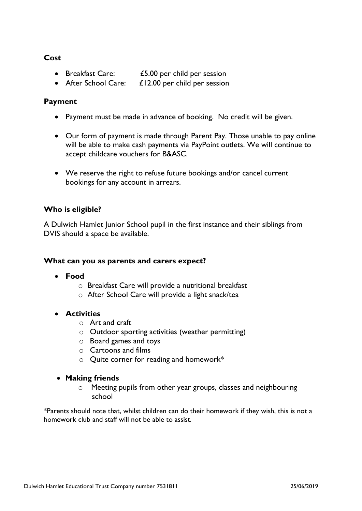## **Cost**

- Breakfast Care: £5.00 per child per session
- After School Care: £12.00 per child per session

## **Payment**

- Payment must be made in advance of booking. No credit will be given.
- Our form of payment is made through Parent Pay. Those unable to pay online will be able to make cash payments via PayPoint outlets. We will continue to accept childcare vouchers for B&ASC.
- We reserve the right to refuse future bookings and/or cancel current bookings for any account in arrears.

## **Who is eligible?**

A Dulwich Hamlet Junior School pupil in the first instance and their siblings from DVIS should a space be available.

#### **What can you as parents and carers expect?**

- **Food**
	- o Breakfast Care will provide a nutritional breakfast
	- o After School Care will provide a light snack/tea

## • **Activities**

- o Art and craft
- o Outdoor sporting activities (weather permitting)
- o Board games and toys
- o Cartoons and films
- o Quite corner for reading and homework\*

#### • **Making friends**

o Meeting pupils from other year groups, classes and neighbouring school

\*Parents should note that, whilst children can do their homework if they wish, this is not a homework club and staff will not be able to assist*.*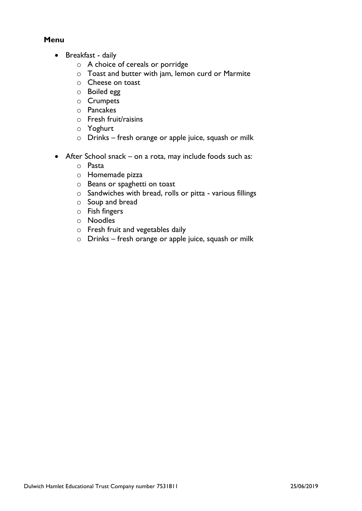## **Menu**

- Breakfast daily
	- o A choice of cereals or porridge
	- o Toast and butter with jam, lemon curd or Marmite
	- o Cheese on toast
	- o Boiled egg
	- o Crumpets
	- o Pancakes
	- o Fresh fruit/raisins
	- o Yoghurt
	- o Drinks fresh orange or apple juice, squash or milk
- After School snack on a rota, may include foods such as:
	- o Pasta
	- o Homemade pizza
	- o Beans or spaghetti on toast
	- o Sandwiches with bread, rolls or pitta various fillings
	- o Soup and bread
	- o Fish fingers
	- o Noodles
	- o Fresh fruit and vegetables daily
	- o Drinks fresh orange or apple juice, squash or milk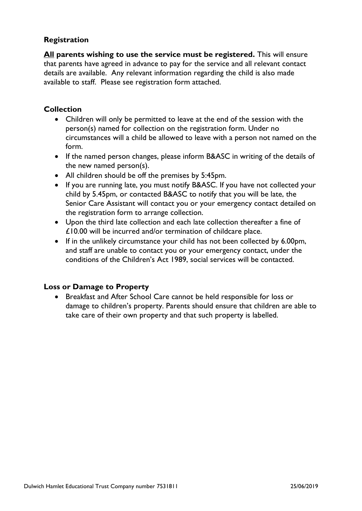## **Registration**

**All parents wishing to use the service must be registered.** This will ensure that parents have agreed in advance to pay for the service and all relevant contact details are available. Any relevant information regarding the child is also made available to staff. Please see registration form attached.

## **Collection**

- Children will only be permitted to leave at the end of the session with the person(s) named for collection on the registration form. Under no circumstances will a child be allowed to leave with a person not named on the form.
- If the named person changes, please inform B&ASC in writing of the details of the new named person(s).
- All children should be off the premises by 5:45pm.
- If you are running late, you must notify B&ASC. If you have not collected your child by 5.45pm, or contacted B&ASC to notify that you will be late, the Senior Care Assistant will contact you or your emergency contact detailed on the registration form to arrange collection.
- Upon the third late collection and each late collection thereafter a fine of £10.00 will be incurred and/or termination of childcare place.
- If in the unlikely circumstance your child has not been collected by 6.00pm, and staff are unable to contact you or your emergency contact, under the conditions of the Children's Act 1989, social services will be contacted.

## **Loss or Damage to Property**

• Breakfast and After School Care cannot be held responsible for loss or damage to children's property. Parents should ensure that children are able to take care of their own property and that such property is labelled.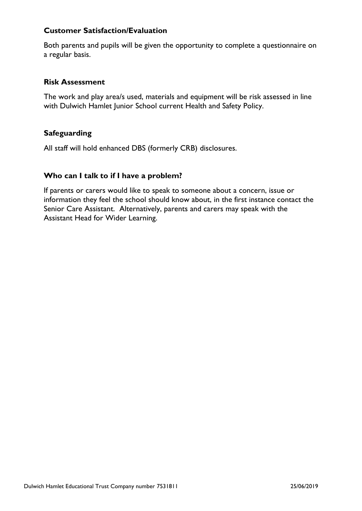## **Customer Satisfaction/Evaluation**

Both parents and pupils will be given the opportunity to complete a questionnaire on a regular basis.

#### **Risk Assessment**

The work and play area/s used, materials and equipment will be risk assessed in line with Dulwich Hamlet Junior School current Health and Safety Policy.

## **Safeguarding**

All staff will hold enhanced DBS (formerly CRB) disclosures.

## **Who can I talk to if I have a problem?**

If parents or carers would like to speak to someone about a concern, issue or information they feel the school should know about, in the first instance contact the Senior Care Assistant. Alternatively, parents and carers may speak with the Assistant Head for Wider Learning.